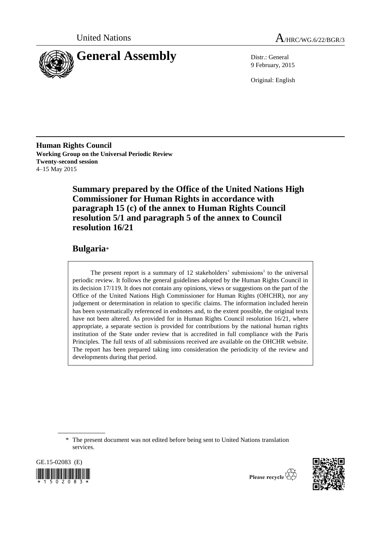



9 February, 2015

Original: English

**Human Rights Council Working Group on the Universal Periodic Review Twenty-second session** 4–15 May 2015

> **Summary prepared by the Office of the United Nations High Commissioner for Human Rights in accordance with paragraph 15 (c) of the annex to Human Rights Council resolution 5/1 and paragraph 5 of the annex to Council resolution 16/21**

# **Bulgaria**\*

The present report is a summary of  $12$  stakeholders' submissions<sup>1</sup> to the universal periodic review. It follows the general guidelines adopted by the Human Rights Council in its decision 17/119. It does not contain any opinions, views or suggestions on the part of the Office of the United Nations High Commissioner for Human Rights (OHCHR), nor any judgement or determination in relation to specific claims. The information included herein has been systematically referenced in endnotes and, to the extent possible, the original texts have not been altered. As provided for in Human Rights Council resolution 16/21, where appropriate, a separate section is provided for contributions by the national human rights institution of the State under review that is accredited in full compliance with the Paris Principles. The full texts of all submissions received are available on the OHCHR website. The report has been prepared taking into consideration the periodicity of the review and developments during that period.

GE.15-02083 (E)  $*$  1 5 0 2 0 8 3  $*$ 



Please recycle

<sup>\*</sup> The present document was not edited before being sent to United Nations translation services.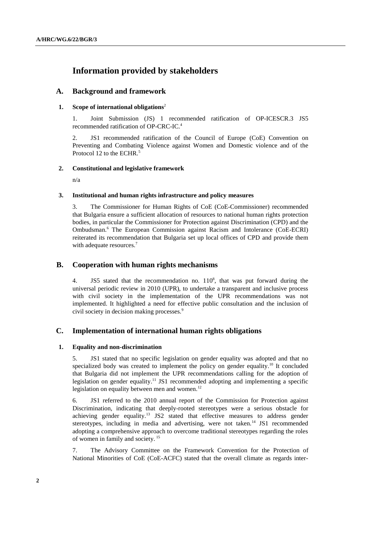# **Information provided by stakeholders**

# **A. Background and framework**

# **1. Scope of international obligations**<sup>2</sup>

1. Joint Submission (JS) 1 recommended ratification of OP-ICESCR.3 JS5 recommended ratification of OP-CRC-IC. 4

2. JS1 recommended ratification of the Council of Europe (CoE) Convention on Preventing and Combating Violence against Women and Domestic violence and of the Protocol 12 to the ECHR.<sup>5</sup>

# **2. Constitutional and legislative framework**

n/a

# **3. Institutional and human rights infrastructure and policy measures**

3. The Commissioner for Human Rights of CoE (CoE-Commissioner) recommended that Bulgaria ensure a sufficient allocation of resources to national human rights protection bodies, in particular the Commissioner for Protection against Discrimination (CPD) and the Ombudsman. <sup>6</sup> The European Commission against Racism and Intolerance (CoE-ECRI) reiterated its recommendation that Bulgaria set up local offices of CPD and provide them with adequate resources.<sup>7</sup>

# **B. Cooperation with human rights mechanisms**

4. JS5 stated that the recommendation no.  $110^8$ , that was put forward during the universal periodic review in 2010 (UPR), to undertake a transparent and inclusive process with civil society in the implementation of the UPR recommendations was not implemented. It highlighted a need for effective public consultation and the inclusion of civil society in decision making processes.<sup>9</sup>

# **C. Implementation of international human rights obligations**

# **1. Equality and non-discrimination**

5. JS1 stated that no specific legislation on gender equality was adopted and that no specialized body was created to implement the policy on gender equality.<sup>10</sup> It concluded that Bulgaria did not implement the UPR recommendations calling for the adoption of legislation on gender equality.<sup>11</sup> JS1 recommended adopting and implementing a specific legislation on equality between men and women. $12$ 

6. JS1 referred to the 2010 annual report of the Commission for Protection against Discrimination, indicating that deeply-rooted stereotypes were a serious obstacle for achieving gender equality.<sup>13</sup> JS2 stated that effective measures to address gender stereotypes, including in media and advertising, were not taken.<sup>14</sup> JS1 recommended adopting a comprehensive approach to overcome traditional stereotypes regarding the roles of women in family and society. <sup>15</sup>

7. The Advisory Committee on the Framework Convention for the Protection of National Minorities of CoE (CoE-ACFC) stated that the overall climate as regards inter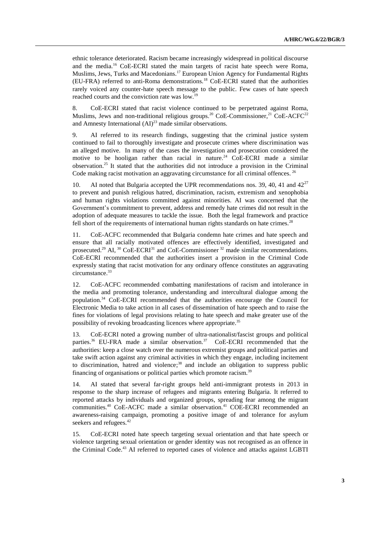ethnic tolerance deteriorated. Racism became increasingly widespread in political discourse and the media. <sup>16</sup> CoE-ECRI stated the main targets of racist hate speech were Roma, Muslims, Jews, Turks and Macedonians.<sup>17</sup> European Union Agency for Fundamental Rights (EU-FRA) referred to anti-Roma demonstrations.<sup>18</sup> CoE-ECRI stated that the authorities rarely voiced any counter-hate speech message to the public. Few cases of hate speech reached courts and the conviction rate was low.<sup>19</sup>

8. CoE-ECRI stated that racist violence continued to be perpetrated against Roma, Muslims, Jews and non-traditional religious groups.<sup>20</sup> CoE-Commissioner,<sup>21</sup> CoE-ACFC<sup>22</sup> and Amnesty International  $(AI)^{23}$  made similar observations.

9. AI referred to its research findings, suggesting that the criminal justice system continued to fail to thoroughly investigate and prosecute crimes where discrimination was an alleged motive. In many of the cases the investigation and prosecution considered the motive to be hooligan rather than racial in nature.<sup>24</sup> CoE-ECRI made a similar observation. <sup>25</sup> It stated that the authorities did not introduce a provision in the Criminal Code making racist motivation an aggravating circumstance for all criminal offences.<sup>26</sup>

AI noted that Bulgaria accepted the UPR recommendations nos. 39, 40, 41 and  $42^{27}$ to prevent and punish religious hatred, discrimination, racism, extremism and xenophobia and human rights violations committed against minorities. AI was concerned that the Government's commitment to prevent, address and remedy hate crimes did not result in the adoption of adequate measures to tackle the issue. Both the legal framework and practice fell short of the requirements of international human rights standards on hate crimes.<sup>28</sup>

11. CoE-ACFC recommended that Bulgaria condemn hate crimes and hate speech and ensure that all racially motivated offences are effectively identified, investigated and prosecuted.<sup>29</sup> AI,  $^{30}$  CoE-ECRI<sup>31</sup> and CoE-Commissioner  $^{32}$  made similar recommendations. CoE-ECRI recommended that the authorities insert a provision in the Criminal Code expressly stating that racist motivation for any ordinary offence constitutes an aggravating circumstance.<sup>33</sup>

12. CoE-ACFC recommended combatting manifestations of racism and intolerance in the media and promoting tolerance, understanding and intercultural dialogue among the population.<sup>34</sup> CoE-ECRI recommended that the authorities encourage the Council for Electronic Media to take action in all cases of dissemination of hate speech and to raise the fines for violations of legal provisions relating to hate speech and make greater use of the possibility of revoking broadcasting licences where appropriate.<sup>35</sup>

13. CoE-ECRI noted a growing number of ultra-nationalist/fascist groups and political parties.<sup>36</sup> EU-FRA made a similar observation.<sup>37</sup> CoE-ECRI recommended that the authorities: keep a close watch over the numerous extremist groups and political parties and take swift action against any criminal activities in which they engage, including incitement to discrimination, hatred and violence; <sup>38</sup> and include an obligation to suppress public financing of organisations or political parties which promote racism.<sup>39</sup>

14. AI stated that several far-right groups held anti-immigrant protests in 2013 in response to the sharp increase of refugees and migrants entering Bulgaria. It referred to reported attacks by individuals and organized groups, spreading fear among the migrant communities.<sup>40</sup> CoE-ACFC made a similar observation.<sup>41</sup> COE-ECRI recommended an awareness-raising campaign, promoting a positive image of and tolerance for asylum seekers and refugees.<sup>42</sup>

15. CoE-ECRI noted hate speech targeting sexual orientation and that hate speech or violence targeting sexual orientation or gender identity was not recognised as an offence in the Criminal Code.<sup>43</sup> AI referred to reported cases of violence and attacks against LGBTI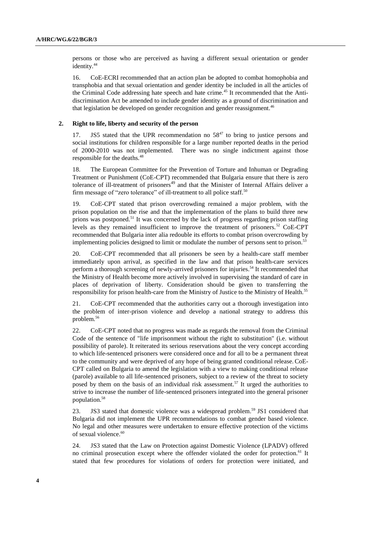persons or those who are perceived as having a different sexual orientation or gender identity.<sup>44</sup>

16. CoE-ECRI recommended that an action plan be adopted to combat homophobia and transphobia and that sexual orientation and gender identity be included in all the articles of the Criminal Code addressing hate speech and hate crime.<sup>45</sup> It recommended that the Antidiscrimination Act be amended to include gender identity as a ground of discrimination and that legislation be developed on gender recognition and gender reassignment.<sup>46</sup>

#### **2. Right to life, liberty and security of the person**

17. JS5 stated that the UPR recommendation no  $58^{47}$  to bring to justice persons and social institutions for children responsible for a large number reported deaths in the period of 2000-2010 was not implemented. There was no single indictment against those responsible for the deaths.<sup>48</sup>

18. The European Committee for the Prevention of Torture and Inhuman or Degrading Treatment or Punishment (CoE-CPT) recommended that Bulgaria ensure that there is zero tolerance of ill-treatment of prisoners $49$  and that the Minister of Internal Affairs deliver a firm message of "zero tolerance" of ill-treatment to all police staff.<sup>50</sup>

19. CoE-CPT stated that prison overcrowding remained a major problem, with the prison population on the rise and that the implementation of the plans to build three new prions was postponed.<sup>51</sup> It was concerned by the lack of progress regarding prison staffing levels as they remained insufficient to improve the treatment of prisoners.<sup>52</sup> CoE-CPT recommended that Bulgaria inter alia redouble its efforts to combat prison overcrowding by implementing policies designed to limit or modulate the number of persons sent to prison.<sup>53</sup>

20. CoE-CPT recommended that all prisoners be seen by a health-care staff member immediately upon arrival, as specified in the law and that prison health-care services perform a thorough screening of newly-arrived prisoners for injuries.<sup>54</sup> It recommended that the Ministry of Health become more actively involved in supervising the standard of care in places of deprivation of liberty. Consideration should be given to transferring the responsibility for prison health-care from the Ministry of Justice to the Ministry of Health.<sup>55</sup>

21. CoE-CPT recommended that the authorities carry out a thorough investigation into the problem of inter-prison violence and develop a national strategy to address this problem.<sup>56</sup>

22. CoE-CPT noted that no progress was made as regards the removal from the Criminal Code of the sentence of "life imprisonment without the right to substitution" (i.e. without possibility of parole). It reiterated its serious reservations about the very concept according to which life-sentenced prisoners were considered once and for all to be a permanent threat to the community and were deprived of any hope of being granted conditional release.CoE-CPT called on Bulgaria to amend the legislation with a view to making conditional release (parole) available to all life-sentenced prisoners, subject to a review of the threat to society posed by them on the basis of an individual risk assessment.<sup>57</sup> It urged the authorities to strive to increase the number of life-sentenced prisoners integrated into the general prisoner population.<sup>58</sup>

23. JS3 stated that domestic violence was a widespread problem. <sup>59</sup> JS1 considered that Bulgaria did not implement the UPR recommendations to combat gender based violence. No legal and other measures were undertaken to ensure effective protection of the victims of sexual violence.<sup>60</sup>

24. JS3 stated that the Law on Protection against Domestic Violence (LPADV) offered no criminal prosecution except where the offender violated the order for protection.<sup>61</sup> It stated that few procedures for violations of orders for protection were initiated, and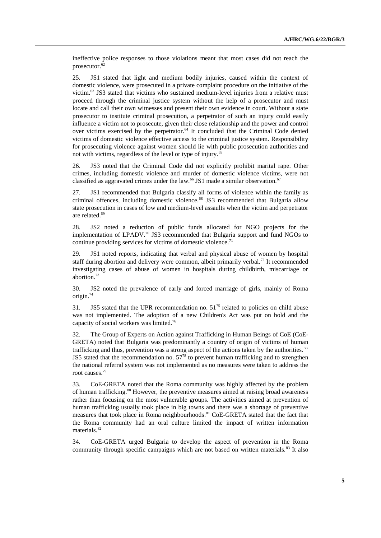ineffective police responses to those violations meant that most cases did not reach the prosecutor. 62

25. JS1 stated that light and medium bodily injuries, caused within the context of domestic violence, were prosecuted in a private complaint procedure on the initiative of the victim.<sup>63</sup> JS3 stated that victims who sustained medium-level injuries from a relative must proceed through the criminal justice system without the help of a prosecutor and must locate and call their own witnesses and present their own evidence in court. Without a state prosecutor to institute criminal prosecution, a perpetrator of such an injury could easily influence a victim not to prosecute, given their close relationship and the power and control over victims exercised by the perpetrator.<sup>64</sup> It concluded that the Criminal Code denied victims of domestic violence effective access to the criminal justice system. Responsibility for prosecuting violence against women should lie with public prosecution authorities and not with victims, regardless of the level or type of injury. 65

26. JS3 noted that the Criminal Code did not explicitly prohibit marital rape. Other crimes, including domestic violence and murder of domestic violence victims, were not classified as aggravated crimes under the law.<sup>66</sup> JS1 made a similar observation.<sup>67</sup>

27. JS1 recommended that Bulgaria classify all forms of violence within the family as criminal offences, including domestic violence.<sup>68</sup> JS3 recommended that Bulgaria allow state prosecution in cases of low and medium-level assaults when the victim and perpetrator are related. 69

28. JS2 noted a reduction of public funds allocated for NGO projects for the implementation of LPADV.<sup>70</sup> JS3 recommended that Bulgaria support and fund NGOs to continue providing services for victims of domestic violence.<sup>71</sup>

29. JS1 noted reports, indicating that verbal and physical abuse of women by hospital staff during abortion and delivery were common, albeit primarily verbal.<sup>72</sup> It recommended investigating cases of abuse of women in hospitals during childbirth, miscarriage or abortion.<sup>73</sup>

30. JS2 noted the prevalence of early and forced marriage of girls, mainly of Roma origin.<sup>74</sup>

31. JS5 stated that the UPR recommendation no.  $51^{75}$  related to policies on child abuse was not implemented. The adoption of a new Children's Act was put on hold and the capacity of social workers was limited.<sup>76</sup>

32. The Group of Experts on Action against Trafficking in Human Beings of CoE (CoE-GRETA) noted that Bulgaria was predominantly a country of origin of victims of human trafficking and thus, prevention was a strong aspect of the actions taken by the authorities. <sup>77</sup> JS5 stated that the recommendation no.  $57<sup>78</sup>$  to prevent human trafficking and to strengthen the national referral system was not implemented as no measures were taken to address the root causes.<sup>79</sup>

33. CoE-GRETA noted that the Roma community was highly affected by the problem of human trafficking.<sup>80</sup> However, the preventive measures aimed at raising broad awareness rather than focusing on the most vulnerable groups. The activities aimed at prevention of human trafficking usually took place in big towns and there was a shortage of preventive measures that took place in Roma neighbourhoods. <sup>81</sup> CoE-GRETA stated that the fact that the Roma community had an oral culture limited the impact of written information materials.<sup>82</sup>

34. CoE-GRETA urged Bulgaria to develop the aspect of prevention in the Roma community through specific campaigns which are not based on written materials. $83$  It also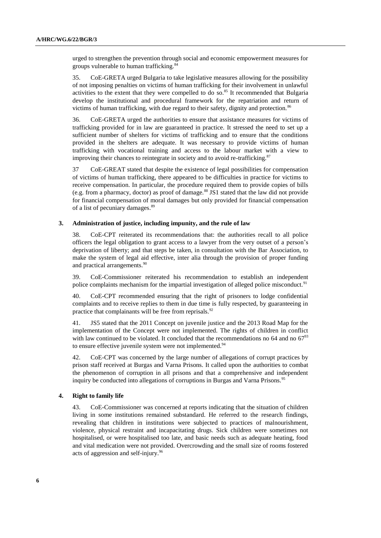urged to strengthen the prevention through social and economic empowerment measures for groups vulnerable to human trafficking.<sup>84</sup>

35. CoE-GRETA urged Bulgaria to take legislative measures allowing for the possibility of not imposing penalties on victims of human trafficking for their involvement in unlawful activities to the extent that they were compelled to do so. $85$  It recommended that Bulgaria develop the institutional and procedural framework for the repatriation and return of victims of human trafficking, with due regard to their safety, dignity and protection.<sup>86</sup>

36. CoE-GRETA urged the authorities to ensure that assistance measures for victims of trafficking provided for in law are guaranteed in practice. It stressed the need to set up a sufficient number of shelters for victims of trafficking and to ensure that the conditions provided in the shelters are adequate. It was necessary to provide victims of human trafficking with vocational training and access to the labour market with a view to improving their chances to reintegrate in society and to avoid re-trafficking.<sup>87</sup>

37 CoE-GREAT stated that despite the existence of legal possibilities for compensation of victims of human trafficking, there appeared to be difficulties in practice for victims to receive compensation. In particular, the procedure required them to provide copies of bills (e.g. from a pharmacy, doctor) as proof of damage. $88$  JS1 stated that the law did not provide for financial compensation of moral damages but only provided for financial compensation of a list of pecuniary damages.<sup>89</sup>

#### **3. Administration of justice, including impunity, and the rule of law**

38. CoE-CPT reiterated its recommendations that: the authorities recall to all police officers the legal obligation to grant access to a lawyer from the very outset of a person's deprivation of liberty; and that steps be taken, in consultation with the Bar Association, to make the system of legal aid effective, inter alia through the provision of proper funding and practical arrangements. 90

39. CoE-Commissioner reiterated his recommendation to establish an independent police complaints mechanism for the impartial investigation of alleged police misconduct.<sup>91</sup>

40. CoE-CPT recommended ensuring that the right of prisoners to lodge confidential complaints and to receive replies to them in due time is fully respected, by guaranteeing in practice that complainants will be free from reprisals.<sup>92</sup>

41. JS5 stated that the 2011 Concept on juvenile justice and the 2013 Road Map for the implementation of the Concept were not implemented. The rights of children in conflict with law continued to be violated. It concluded that the recommendations no 64 and no  $67<sup>93</sup>$ to ensure effective juvenile system were not implemented.<sup>94</sup>

42. CoE-CPT was concerned by the large number of allegations of corrupt practices by prison staff received at Burgas and Varna Prisons. It called upon the authorities to combat the phenomenon of corruption in all prisons and that a comprehensive and independent inquiry be conducted into allegations of corruptions in Burgas and Varna Prisons.<sup>95</sup>

## **4. Right to family life**

43. CoE-Commissioner was concerned at reports indicating that the situation of children living in some institutions remained substandard. He referred to the research findings, revealing that children in institutions were subjected to practices of malnourishment, violence, physical restraint and incapacitating drugs. Sick children were sometimes not hospitalised, or were hospitalised too late, and basic needs such as adequate heating, food and vital medication were not provided. Overcrowding and the small size of rooms fostered acts of aggression and self-injury.<sup>96</sup>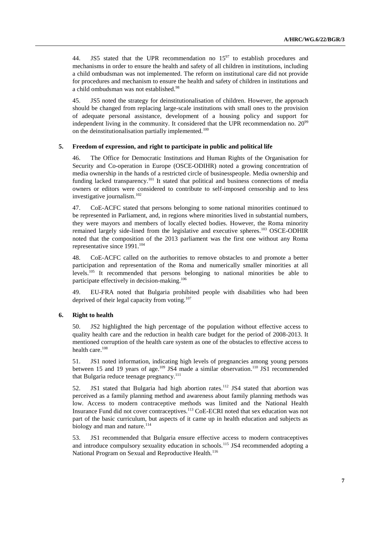44. JS5 stated that the UPR recommendation no  $15^{97}$  to establish procedures and mechanisms in order to ensure the health and safety of all children in institutions, including a child ombudsman was not implemented. The reform on institutional care did not provide for procedures and mechanism to ensure the health and safety of children in institutions and a child ombudsman was not established.<sup>98</sup>

45. JS5 noted the strategy for deinstitutionalisation of children. However, the approach should be changed from replacing large-scale institutions with small ones to the provision of adequate personal assistance, development of a housing policy and support for independent living in the community. It considered that the UPR recommendation no.  $20^{\circ9}$ on the deinstitutionalisation partially implemented.<sup>100</sup>

#### **5. Freedom of expression, and right to participate in public and political life**

46. The Office for Democratic Institutions and Human Rights of the Organisation for Security and Co-operation in Europe (OSCE-ODIHR) noted a growing concentration of media ownership in the hands of a restricted circle of businesspeople. Media ownership and funding lacked transparency.<sup>101</sup> It stated that political and business connections of media owners or editors were considered to contribute to self-imposed censorship and to less investigative journalism. 102

47. CoE-ACFC stated that persons belonging to some national minorities continued to be represented in Parliament, and, in regions where minorities lived in substantial numbers, they were mayors and members of locally elected bodies. However, the Roma minority remained largely side-lined from the legislative and executive spheres.<sup>103</sup> OSCE-ODHIR noted that the composition of the 2013 parliament was the first one without any Roma representative since 1991.<sup>104</sup>

48. CoE-ACFC called on the authorities to remove obstacles to and promote a better participation and representation of the Roma and numerically smaller minorities at all levels. <sup>105</sup> It recommended that persons belonging to national minorities be able to participate effectively in decision-making.<sup>106</sup>

49. EU-FRA noted that Bulgaria prohibited people with disabilities who had been deprived of their legal capacity from voting. $107$ 

#### **6. Right to health**

50. JS2 highlighted the high percentage of the population without effective access to quality health care and the reduction in health care budget for the period of 2008-2013. It mentioned corruption of the health care system as one of the obstacles to effective access to health care.<sup>108</sup>

51. JS1 noted information, indicating high levels of pregnancies among young persons between 15 and 19 years of age.<sup>109</sup> JS4 made a similar observation.<sup>110</sup> JS1 recommended that Bulgaria reduce teenage pregnancy.<sup>111</sup>

52. JS1 stated that Bulgaria had high abortion rates.<sup>112</sup> JS4 stated that abortion was perceived as a family planning method and awareness about family planning methods was low. Access to modern contraceptive methods was limited and the National Health Insurance Fund did not cover contraceptives.<sup>113</sup> CoE-ECRI noted that sex education was not part of the basic curriculum, but aspects of it came up in health education and subjects as biology and man and nature.<sup>114</sup>

53. JS1 recommended that Bulgaria ensure effective access to modern contraceptives and introduce compulsory sexuality education in schools.<sup>115</sup> JS4 recommended adopting a National Program on Sexual and Reproductive Health.<sup>116</sup>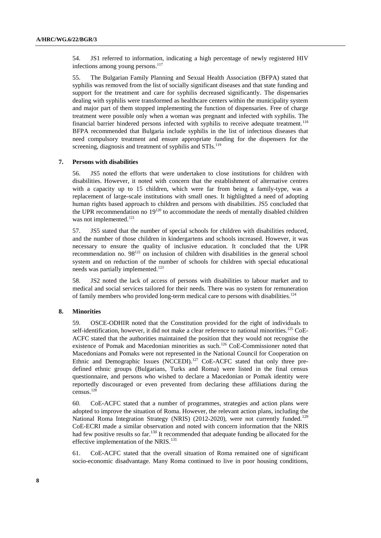54. JS1 referred to information, indicating a high percentage of newly registered HIV infections among young persons. 117

55. The Bulgarian Family Planning and Sexual Health Association (BFPA) stated that syphilis was removed from the list of socially significant diseases and that state funding and support for the treatment and care for syphilis decreased significantly. The dispensaries dealing with syphilis were transformed as healthcare centers within the municipality system and major part of them stopped implementing the function of dispensaries. Free of charge treatment were possible only when a woman was pregnant and infected with syphilis. The financial barrier hindered persons infected with syphilis to receive adequate treatment.<sup>118</sup> BFPA recommended that Bulgaria include syphilis in the list of infectious diseases that need compulsory treatment and ensure appropriate funding for the dispensers for the screening, diagnosis and treatment of syphilis and STIs.<sup>119</sup>

## **7. Persons with disabilities**

56. JS5 noted the efforts that were undertaken to close institutions for children with disabilities. However, it noted with concern that the establishment of alternative centres with a capacity up to 15 children, which were far from being a family-type, was a replacement of large-scale institutions with small ones. It highlighted a need of adopting human rights based approach to children and persons with disabilities. JS5 concluded that the UPR recommendation no  $19^{120}$  to accommodate the needs of mentally disabled children was not implemented.<sup>121</sup>

57. JS5 stated that the number of special schools for children with disabilities reduced, and the number of those children in kindergartens and schools increased. However, it was necessary to ensure the quality of inclusive education. It concluded that the UPR recommendation no.  $98^{122}$  on inclusion of children with disabilities in the general school system and on reduction of the number of schools for children with special educational needs was partially implemented.<sup>123</sup>

58. JS2 noted the lack of access of persons with disabilities to labour market and to medical and social services tailored for their needs. There was no system for remuneration of family members who provided long-term medical care to persons with disabilities.<sup>124</sup>

## **8. Minorities**

59. OSCE-ODHIR noted that the Constitution provided for the right of individuals to self-identification, however, it did not make a clear reference to national minorities.<sup>125</sup> CoE-ACFC stated that the authorities maintained the position that they would not recognise the existence of Pomak and Macedonian minorities as such.<sup>126</sup> CoE-Commissioner noted that Macedonians and Pomaks were not represented in the National Council for Cooperation on Ethnic and Demographic Issues (NCCEDI).<sup>127</sup> CoE-ACFC stated that only three predefined ethnic groups (Bulgarians, Turks and Roma) were listed in the final census questionnaire, and persons who wished to declare a Macedonian or Pomak identity were reportedly discouraged or even prevented from declaring these affiliations during the census.<sup>128</sup>

60. CoE-ACFC stated that a number of programmes, strategies and action plans were adopted to improve the situation of Roma. However, the relevant action plans, including the National Roma Integration Strategy (NRIS) (2012-2020), were not currently funded.<sup>129</sup> CoE-ECRI made a similar observation and noted with concern information that the NRIS had few positive results so far.<sup>130</sup> It recommended that adequate funding be allocated for the effective implementation of the NRIS.<sup>131</sup>

61. CoE-ACFC stated that the overall situation of Roma remained one of significant socio-economic disadvantage. Many Roma continued to live in poor housing conditions,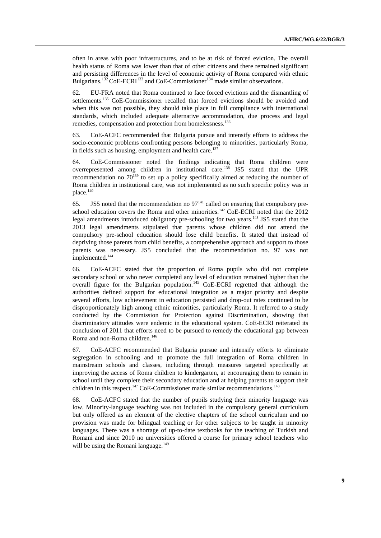often in areas with poor infrastructures, and to be at risk of forced eviction. The overall health status of Roma was lower than that of other citizens and there remained significant and persisting differences in the level of economic activity of Roma compared with ethnic Bulgarians.<sup>132</sup> CoE-ECRI<sup>133</sup> and CoE-Commissioner<sup>134</sup> made similar observations.

62. EU-FRA noted that Roma continued to face forced evictions and the dismantling of settlements.<sup>135</sup> CoE-Commissioner recalled that forced evictions should be avoided and when this was not possible, they should take place in full compliance with international standards, which included adequate alternative accommodation, due process and legal remedies, compensation and protection from homelessness.<sup>136</sup>

63. CoE-ACFC recommended that Bulgaria pursue and intensify efforts to address the socio-economic problems confronting persons belonging to minorities, particularly Roma, in fields such as housing, employment and health care. $137$ 

64. CoE-Commissioner noted the findings indicating that Roma children were overrepresented among children in institutional care.<sup>138</sup> JS5 stated that the UPR recommendation no  $70^{139}$  to set up a policy specifically aimed at reducing the number of Roma children in institutional care, was not implemented as no such specific policy was in place.<sup>140</sup>

65. JS5 noted that the recommendation no  $97<sup>141</sup>$  called on ensuring that compulsory preschool education covers the Roma and other minorities.<sup>142</sup> CoE-ECRI noted that the  $2012$ legal amendments introduced obligatory pre-schooling for two years.<sup>143</sup> JS5 stated that the 2013 legal amendments stipulated that parents whose children did not attend the compulsory pre-school education should lose child benefits. It stated that instead of depriving those parents from child benefits, a comprehensive approach and support to those parents was necessary. JS5 concluded that the recommendation no. 97 was not implemented.<sup>144</sup>

66. CoE-ACFC stated that the proportion of Roma pupils who did not complete secondary school or who never completed any level of education remained higher than the overall figure for the Bulgarian population.<sup>145</sup> CoE-ECRI regretted that although the authorities defined support for educational integration as a major priority and despite several efforts, low achievement in education persisted and drop-out rates continued to be disproportionately high among ethnic minorities, particularly Roma. It referred to a study conducted by the Commission for Protection against Discrimination, showing that discriminatory attitudes were endemic in the educational system. CoE-ECRI reiterated its conclusion of 2011 that efforts need to be pursued to remedy the educational gap between Roma and non-Roma children.<sup>146</sup>

67. CoE-ACFC recommended that Bulgaria pursue and intensify efforts to eliminate segregation in schooling and to promote the full integration of Roma children in mainstream schools and classes, including through measures targeted specifically at improving the access of Roma children to kindergarten, at encouraging them to remain in school until they complete their secondary education and at helping parents to support their children in this respect.<sup>147</sup> CoE-Commissioner made similar recommendations.<sup>148</sup>

68. CoE-ACFC stated that the number of pupils studying their minority language was low. Minority-language teaching was not included in the compulsory general curriculum but only offered as an element of the elective chapters of the school curriculum and no provision was made for bilingual teaching or for other subjects to be taught in minority languages. There was a shortage of up-to-date textbooks for the teaching of Turkish and Romani and since 2010 no universities offered a course for primary school teachers who will be using the Romani language. $149$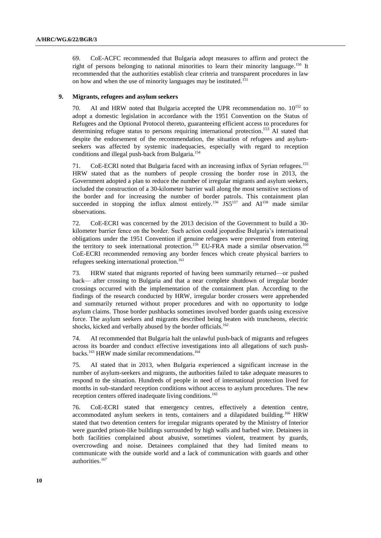69. CoE-ACFC recommended that Bulgaria adopt measures to affirm and protect the right of persons belonging to national minorities to learn their minority language. <sup>150</sup> It recommended that the authorities establish clear criteria and transparent procedures in law on how and when the use of minority languages may be instituted.<sup>151</sup>

#### **9. Migrants, refugees and asylum seekers**

70. AI and HRW noted that Bulgaria accepted the UPR recommendation no.  $10^{152}$  to adopt a domestic legislation in accordance with the 1951 Convention on the Status of Refugees and the Optional Protocol thereto, guaranteeing efficient access to procedures for determining refugee status to persons requiring international protection.<sup>153</sup> AI stated that despite the endorsement of the recommendation, the situation of refugees and asylumseekers was affected by systemic inadequacies, especially with regard to reception conditions and illegal push-back from Bulgaria. 154

71. CoE-ECRI noted that Bulgaria faced with an increasing influx of Syrian refugees.<sup>155</sup> HRW stated that as the numbers of people crossing the border rose in 2013, the Government adopted a plan to reduce the number of irregular migrants and asylum seekers, included the construction of a 30-kilometer barrier wall along the most sensitive sections of the border and for increasing the number of border patrols. This containment plan succeeded in stopping the influx almost entirely.<sup>156</sup> JS5<sup>157</sup> and  $AI<sup>158</sup>$  made similar observations.

72. CoE-ECRI was concerned by the 2013 decision of the Government to build a 30 kilometer barrier fence on the border. Such action could jeopardise Bulgaria's international obligations under the 1951 Convention if genuine refugees were prevented from entering the territory to seek international protection.<sup>159</sup> EU-FRA made a similar observation.<sup>160</sup> CoE-ECRI recommended removing any border fences which create physical barriers to refugees seeking international protection. 161

73. HRW stated that migrants reported of having been summarily returned—or pushed back— after crossing to Bulgaria and that a near complete shutdown of irregular border crossings occurred with the implementation of the containment plan. According to the findings of the research conducted by HRW, irregular border crossers were apprehended and summarily returned without proper procedures and with no opportunity to lodge asylum claims. Those border pushbacks sometimes involved border guards using excessive force. The asylum seekers and migrants described being beaten with truncheons, electric shocks, kicked and verbally abused by the border officials.<sup>162</sup>

74. AI recommended that Bulgaria halt the unlawful push-back of migrants and refugees across its boarder and conduct effective investigations into all allegations of such pushbacks.<sup>163</sup> HRW made similar recommendations.<sup>164</sup>

75. AI stated that in 2013, when Bulgaria experienced a significant increase in the number of asylum-seekers and migrants, the authorities failed to take adequate measures to respond to the situation. Hundreds of people in need of international protection lived for months in sub-standard reception conditions without access to asylum procedures. The new reception centers offered inadequate living conditions.<sup>165</sup>

76. CoE-ECRI stated that emergency centres, effectively a detention centre, accommodated asylum seekers in tents, containers and a dilapidated building.<sup>166</sup> HRW stated that two detention centers for irregular migrants operated by the Ministry of Interior were guarded prison-like buildings surrounded by high walls and barbed wire. Detainees in both facilities complained about abusive, sometimes violent, treatment by guards, overcrowding and noise. Detainees complained that they had limited means to communicate with the outside world and a lack of communication with guards and other authorities.<sup>167</sup>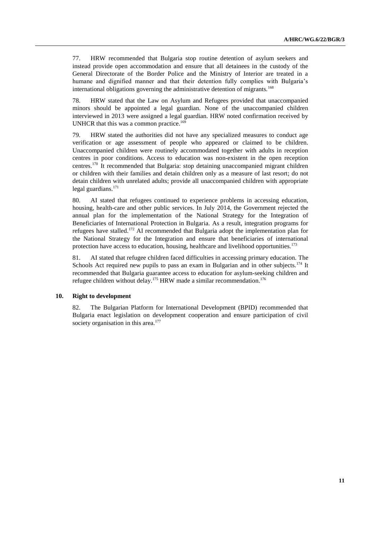77. HRW recommended that Bulgaria stop routine detention of asylum seekers and instead provide open accommodation and ensure that all detainees in the custody of the General Directorate of the Border Police and the Ministry of Interior are treated in a humane and dignified manner and that their detention fully complies with Bulgaria's international obligations governing the administrative detention of migrants.<sup>168</sup>

78. HRW stated that the Law on Asylum and Refugees provided that unaccompanied minors should be appointed a legal guardian. None of the unaccompanied children interviewed in 2013 were assigned a legal guardian. HRW noted confirmation received by UNHCR that this was a common practice.<sup>169</sup>

79. HRW stated the authorities did not have any specialized measures to conduct age verification or age assessment of people who appeared or claimed to be children. Unaccompanied children were routinely accommodated together with adults in reception centres in poor conditions. Access to education was non-existent in the open reception centres.<sup>170</sup> It recommended that Bulgaria: stop detaining unaccompanied migrant children or children with their families and detain children only as a measure of last resort; do not detain children with unrelated adults; provide all unaccompanied children with appropriate legal guardians.<sup>171</sup>

80. AI stated that refugees continued to experience problems in accessing education, housing, health-care and other public services. In July 2014, the Government rejected the annual plan for the implementation of the National Strategy for the Integration of Beneficiaries of International Protection in Bulgaria. As a result, integration programs for refugees have stalled.<sup>172</sup> AI recommended that Bulgaria adopt the implementation plan for the National Strategy for the Integration and ensure that beneficiaries of international protection have access to education, housing, healthcare and livelihood opportunities. $173$ 

81. AI stated that refugee children faced difficulties in accessing primary education. The Schools Act required new pupils to pass an exam in Bulgarian and in other subjects.<sup>174</sup> It recommended that Bulgaria guarantee access to education for asylum-seeking children and refugee children without delay.<sup>175</sup> HRW made a similar recommendation.<sup>176</sup>

## **10. Right to development**

82. The Bulgarian Platform for International Development (BPID) recommended that Bulgaria enact legislation on development cooperation and ensure participation of civil society organisation in this area.<sup>177</sup>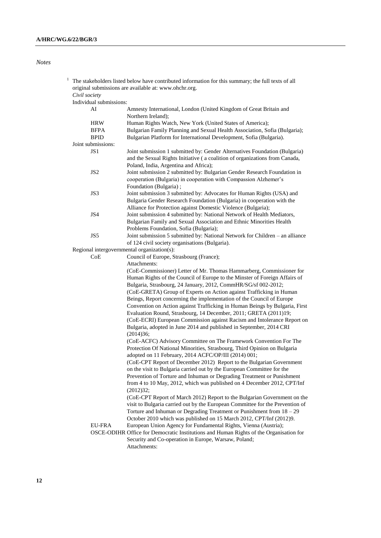# *Notes*

|                                             | The stakeholders listed below have contributed information for this summary; the full texts of all<br>original submissions are available at: www.ohchr.org.                                        |
|---------------------------------------------|----------------------------------------------------------------------------------------------------------------------------------------------------------------------------------------------------|
|                                             |                                                                                                                                                                                                    |
| Civil society                               |                                                                                                                                                                                                    |
| Individual submissions:                     |                                                                                                                                                                                                    |
| AI                                          | Amnesty International, London (United Kingdom of Great Britain and<br>Northern Ireland);                                                                                                           |
| <b>HRW</b>                                  | Human Rights Watch, New York (United States of America);                                                                                                                                           |
| <b>BFPA</b>                                 | Bulgarian Family Planning and Sexual Health Association, Sofia (Bulgaria);                                                                                                                         |
| <b>BPID</b>                                 | Bulgarian Platform for International Development, Sofia (Bulgaria).                                                                                                                                |
| Joint submissions:                          |                                                                                                                                                                                                    |
| JS1                                         | Joint submission 1 submitted by: Gender Alternatives Foundation (Bulgaria)<br>and the Sexual Rights Initiative (a coalition of organizations from Canada,<br>Poland, India, Argentina and Africa); |
| JS <sub>2</sub>                             | Joint submission 2 submitted by: Bulgarian Gender Research Foundation in<br>cooperation (Bulgaria) in cooperation with Compassion Alzhemer's<br>Foundation (Bulgaria);                             |
| JS3                                         | Joint submission 3 submitted by: Advocates for Human Rights (USA) and                                                                                                                              |
|                                             |                                                                                                                                                                                                    |
|                                             | Bulgaria Gender Research Foundation (Bulgaria) in cooperation with the                                                                                                                             |
|                                             | Alliance for Protection against Domestic Violence (Bulgaria);                                                                                                                                      |
| JS4                                         | Joint submission 4 submitted by: National Network of Health Mediators,                                                                                                                             |
|                                             | Bulgarian Family and Sexual Association and Ethnic Minorities Health                                                                                                                               |
|                                             | Problems Foundation, Sofia (Bulgaria);                                                                                                                                                             |
| JS5                                         | Joint submission 5 submitted by: National Network for Children - an alliance<br>of 124 civil society organisations (Bulgaria).                                                                     |
| Regional intergovernmental organization(s): |                                                                                                                                                                                                    |
| CoE                                         | Council of Europe, Strasbourg (France);                                                                                                                                                            |
|                                             | Attachments:                                                                                                                                                                                       |
|                                             | (CoE-Commissioner) Letter of Mr. Thomas Hammarberg, Commissioner for                                                                                                                               |
|                                             | Human Rights of the Council of Europe to the Minster of Foreign Affairs of                                                                                                                         |
|                                             | Bulgaria, Strasbourg, 24 January, 2012, CommHR/SG/sf 002-2012;                                                                                                                                     |
|                                             | (CoE-GRETA) Group of Experts on Action against Trafficking in Human                                                                                                                                |
|                                             | Beings, Report concerning the implementation of the Council of Europe                                                                                                                              |
|                                             | Convention on Action against Trafficking in Human Beings by Bulgaria, First                                                                                                                        |
|                                             | Evaluation Round, Strasbourg, 14 December, 2011; GRETA (2011)19;                                                                                                                                   |
|                                             | (CoE-ECRI) European Commission against Racism and Intolerance Report on                                                                                                                            |
|                                             | Bulgaria, adopted in June 2014 and published in September, 2014 CRI<br>(2014)36;                                                                                                                   |
|                                             |                                                                                                                                                                                                    |
|                                             | (CoE-ACFC) Advisory Committee on The Framework Convention For The<br>Protection Of National Minorities, Strasbourg, Third Opinion on Bulgaria                                                      |
|                                             |                                                                                                                                                                                                    |
|                                             | adopted on 11 February, 2014 ACFC/OP/III (2014) 001;                                                                                                                                               |
|                                             | (CoE-CPT Report of December 2012) Report to the Bulgarian Government                                                                                                                               |
|                                             | on the visit to Bulgaria carried out by the European Committee for the                                                                                                                             |
|                                             | Prevention of Torture and Inhuman or Degrading Treatment or Punishment<br>from 4 to 10 May, 2012, which was published on 4 December 2012, CPT/Inf                                                  |
|                                             | (2012)32;                                                                                                                                                                                          |
|                                             | (CoE-CPT Report of March 2012) Report to the Bulgarian Government on the                                                                                                                           |
|                                             | visit to Bulgaria carried out by the European Committee for the Prevention of                                                                                                                      |
|                                             | Torture and Inhuman or Degrading Treatment or Punishment from $18 - 29$                                                                                                                            |
|                                             | October 2010 which was published on 15 March 2012, CPT/Inf (2012)9.                                                                                                                                |
| <b>EU-FRA</b>                               |                                                                                                                                                                                                    |
|                                             | European Union Agency for Fundamental Rights, Vienna (Austria);                                                                                                                                    |
|                                             | OSCE-ODIHR Office for Democratic Institutions and Human Rights of the Organisation for                                                                                                             |
|                                             | Security and Co-operation in Europe, Warsaw, Poland;<br>Attachments:                                                                                                                               |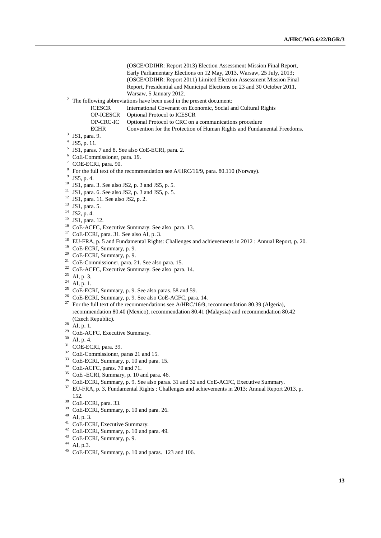(OSCE/ODIHR: Report 2013) Election Assessment Mission Final Report, Early Parliamentary Elections on 12 May, 2013, Warsaw, 25 July, 2013; (OSCE/ODIHR: Report 2011) Limited Election Assessment Mission Final Report, Presidential and Municipal Elections on 23 and 30 October 2011, Warsaw, 5 January 2012.

<sup>2</sup> The following abbreviations have been used in the present document:<br>ICESCR International Covenant on Economic, Social a

- ICESCR International Covenant on Economic, Social and Cultural Rights<br>OP-ICESCR Optional Protocol to ICESCR
- OP-ICESCR Optional Protocol to ICESCR<br>OP-CRC-IC Optional Protocol to CRC on
- Optional Protocol to CRC on a communications procedure
- ECHR Convention for the Protection of Human Rights and Fundamental Freedoms.
- 3 JS1, para. 9.
- 4 JS5, p. 11.
- <sup>5</sup> JS1, paras. 7 and 8. See also CoE-ECRI, para. 2.
- <sup>6</sup> CoE-Commissioner, para. 19.
- <sup>7</sup> COE-ECRI, para. 90.
- <sup>8</sup> For the full text of the recommendation see A/HRC/16/9, para. 80.110 (Norway).
- $9$  JS5, p. 4.
- <sup>10</sup> JS1, para. 3. See also JS2, p. 3 and JS5, p. 5.
- $11$  JS1, para. 6. See also JS2, p. 3 and JS5, p. 5.
- $12$  JS1, para. 11. See also JS2, p. 2.
- <sup>13</sup> JS1, para. 5.
- $14$  JS2, p. 4.
- <sup>15</sup> JS1, para. 12.
- <sup>16</sup> CoE-ACFC, Executive Summary. See also para. 13.
- <sup>17</sup> CoE-ECRI, para. 31. See also AI, p. 3.
- <sup>18</sup> EU-FRA, p. 5 and Fundamental Rights: Challenges and achievements in 2012 : Annual Report, p. 20.
- <sup>19</sup> CoE-ECRI, Summary, p. 9.
- <sup>20</sup> CoE-ECRI, Summary, p. 9.
- <sup>21</sup> CoE-Commissioner, para. 21. See also para. 15.
- <sup>22</sup> CoE-ACFC, Executive Summary. See also para. 14.
- <sup>23</sup> AI, p. 3.
- <sup>24</sup> AI, p. 1.
- <sup>25</sup> CoE-ECRI, Summary, p. 9. See also paras. 58 and 59.
- <sup>26</sup> CoE-ECRI, Summary, p. 9. See also CoE-ACFC, para. 14.
- <sup>27</sup> For the full text of the recommendations see A/HRC/16/9, recommendation 80.39 (Algeria), recommendation 80.40 (Mexico), recommendation 80.41 (Malaysia) and recommendation 80.42 (Czech Republic).
- $28$  AI, p. 1.
- <sup>29</sup> CoE-ACFC, Executive Summary.
- $30$  AI, p. 4.
- <sup>31</sup> COE-ECRI, para. 39.
- <sup>32</sup> CoE-Commissioner, paras 21 and 15.
- <sup>33</sup> CoE-ECRI, Summary, p. 10 and para. 15.
- <sup>34</sup> CoE-ACFC, paras. 70 and 71.
- <sup>35</sup> CoE -ECRI, Summary, p. 10 and para. 46.
- <sup>36</sup> CoE-ECRI, Summary, p. 9. See also paras. 31 and 32 and CoE-ACFC, Executive Summary.
- <sup>37</sup> EU-FRA, p. 3, Fundamental Rights : Challenges and achievements in 2013: Annual Report 2013, p. 152.
- <sup>38</sup> CoE-ECRI, para. 33.
- <sup>39</sup> CoE-ECRI, Summary, p. 10 and para. 26.
- $40$  AI, p. 3.
- <sup>41</sup> CoE-ECRI, Executive Summary.
- <sup>42</sup> CoE-ECRI, Summary, p. 10 and para. 49.
- <sup>43</sup> CoE-ECRI, Summary, p. 9.
- $44$  AI, p.3.
- <sup>45</sup> CoE-ECRI, Summary, p. 10 and paras. 123 and 106.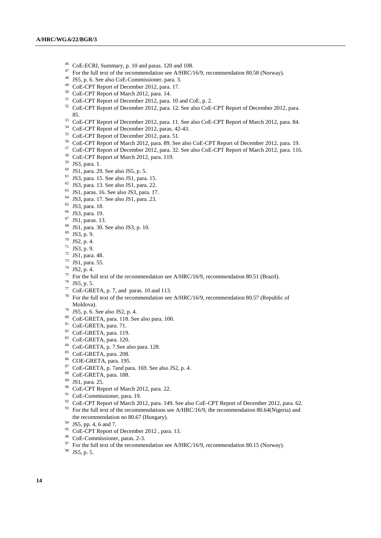- <sup>46</sup> CoE-ECRI, Summary, p. 10 and paras. 120 and 108.
- For the full text of the recommendation see A/HRC/16/9, recommendation 80.58 (Norway).
- JS5, p. 6. See also CoE-Commissioner, para. 3.
- CoE-CPT Report of December 2012, para. 17.
- CoE-CPT Report of March 2012, para. 14.
- CoE-CPT Report of December 2012, para. 10 and CoE, p. 2.
- <sup>52</sup> CoE-CPT Report of December 2012, para. 12. See also CoE-CPT Report of December 2012, para. 85.
- <sup>53</sup> CoE-CPT Report of December 2012, para. 11. See also CoE-CPT Report of March 2012, para. 84.
- CoE-CPT Report of December 2012, paras. 42-43.
- CoE-CPT Report of December 2012, para. 51.
- CoE-CPT Report of March 2012, para. 89. See also CoE-CPT Report of December 2012, para. 19.
- CoE-CPT Report of December 2012, para. 32. See also CoE-CPT Report of March 2012, para. 116.
- CoE-CPT Report of March 2012, para. 119.
- JS3, para. 1.
- JS1, para. 29. See also JS5, p. 5.
- JS3, para. 15. See also JS1, para. 15.
- JS3, para. 13. See also JS1, para. 22.
- JS1, paras. 16. See also JS3, para. 17.
- JS3, para. 17. See also JS1, para. 23.
- JS3, para. 18.
- JS3, para. 19.
- JS1, paras. 13.
- JS1, para. 30. See also JS3, p. 10.
- JS3, p. 9.
- JS2, p. 4.
- JS3, p. 9.
- JS1, para. 48.
- JS1, para. 55.
- JS2, p. 4.
- <sup>75</sup> For the full text of the recommendation see A/HRC/16/9, recommendation 80.51 (Brazil).
- JS5, p. 5.
- CoE-GRETA, p. 7, and paras. 10 and 113.
- For the full text of the recommendation see A/HRC/16/9, recommendation 80.57 (Republic of Moldova).
- JS5, p. 6. See also JS2, p. 4.
- CoE-GRETA, para. 118. See also para. 100.
- CoE-GRETA, para. 71.
- CoE-GRETA, para. 119.
- 83 CoE-GRETA, para. 120.
- CoE-GRETA, p. 7.See also para. 128.
- CoE-GRETA, para. 208.
- COE-GRETA, para. 195.
- CoE-GRETA, p. 7and para. 169. See also JS2, p. 4.
- CoE-GRETA, para. 188.
- JS1, para. 25.
- <sup>90</sup> CoE-CPT Report of March 2012, para. 22.
- CoE-Commissioner, para. 19.
- <sup>92</sup> CoE-CPT Report of March 2012, para. 149. See also CoE-CPT Report of December 2012, para. 62. For the full text of the recommendations see A/HRC/16/9, the recommendation 80.64(Nigeria) and the recommendation no 80.67 (Hungary).
- JS5, pp. 4, 6 and 7.
- 
- <sup>95</sup> CoE-CPT Report of December 2012, para. 13.
- CoE-Commissioner, paras. 2-3.
- For the full text of the recommendation see A/HRC/16/9, recommendation 80.15 (Norway).
- JS5, p. 5.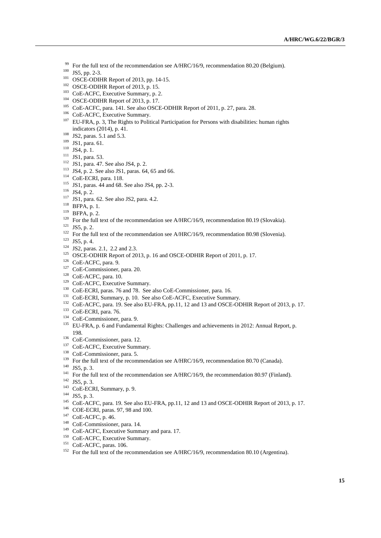- $99$  For the full text of the recommendation see A/HRC/16/9, recommendation 80.20 (Belgium).
- <sup>100</sup> JS5, pp. 2-3.
- <sup>101</sup> OSCE-ODIHR Report of 2013, pp. 14-15.
- <sup>102</sup> OSCE-ODIHR Report of 2013, p. 15.
- <sup>103</sup> CoE-ACFC, Executive Summary, p. 2.
- $104$  OSCE-ODIHR Report of 2013, p. 17.
- <sup>105</sup> CoE-ACFC, para. 141. See also OSCE-ODHIR Report of 2011, p. 27, para. 28.
- <sup>106</sup> CoE-ACFC, Executive Summary.
- <sup>107</sup> EU-FRA, p. 3, The Rights to Political Participation for Persons with disabilities: human rights indicators (2014), p. 41.
- <sup>108</sup> JS2, paras. 5.1 and 5.3.
- <sup>109</sup> JS1, para. 61.
- <sup>110</sup> JS4, p. 1.
- <sup>111</sup> JS1, para. 53.
- <sup>112</sup> JS1, para. 47. See also JS4, p. 2.
- $113$  JS4, p. 2. See also JS1, paras. 64, 65 and 66.
- <sup>114</sup> CoE-ECRI, para. 118.
- <sup>115</sup> JS1, paras. 44 and 68. See also JS4, pp. 2-3.
- <sup>116</sup> JS4, p. 2.
- <sup>117</sup> JS1, para. 62. See also JS2, para. 4.2.
- <sup>118</sup> BFPA, p. 1.
- <sup>119</sup> BFPA, p. 2.
- <sup>120</sup> For the full text of the recommendation see A/HRC/16/9, recommendation 80.19 (Slovakia).
- $121$  JS5, p. 2.
- <sup>122</sup> For the full text of the recommendation see A/HRC/16/9, recommendation 80.98 (Slovenia).
- <sup>123</sup> JS5, p. 4.
- <sup>124</sup> JS2, paras. 2.1, 2.2 and 2.3.
- <sup>125</sup> OSCE-ODHIR Report of 2013, p. 16 and OSCE-ODHIR Report of 2011, p. 17.
- <sup>126</sup> CoE-ACFC, para. 9.
- <sup>127</sup> CoE-Commissioner, para. 20.
- <sup>128</sup> CoE-ACFC, para. 10.
- <sup>129</sup> CoE-ACFC, Executive Summary.
- <sup>130</sup> CoE-ECRI, paras. 76 and 78. See also CoE-Commissioner, para. 16.
- <sup>131</sup> CoE-ECRI, Summary, p. 10. See also CoE-ACFC, Executive Summary.
- <sup>132</sup> CoE-ACFC, para. 19. See also EU-FRA, pp.11, 12 and 13 and OSCE-ODHIR Report of 2013, p. 17.
- <sup>133</sup> CoE-ECRI, para. 76.
- <sup>134</sup> CoE-Commissioner, para. 9.
- <sup>135</sup> EU-FRA, p. 6 and Fundamental Rights: Challenges and achievements in 2012: Annual Report, p. 198.
- <sup>136</sup> CoE-Commissioner, para. 12.
- <sup>137</sup> CoE-ACFC, Executive Summary.
- <sup>138</sup> CoE-Commissioner, para. 5.
- <sup>139</sup> For the full text of the recommendation see A/HRC/16/9, recommendation 80.70 (Canada).
- <sup>140</sup> JS5, p. 3.
- <sup>141</sup> For the full text of the recommendation see A/HRC/16/9, the recommendation 80.97 (Finland).
- <sup>142</sup> JS5, p. 3.
- <sup>143</sup> CoE-ECRI, Summary, p. 9.
- <sup>144</sup> JS5, p. 3.
- <sup>145</sup> CoE-ACFC, para. 19. See also EU-FRA, pp.11, 12 and 13 and OSCE-ODHIR Report of 2013, p. 17.
- <sup>146</sup> COE-ECRI, paras. 97, 98 and 100.
- <sup>147</sup> CoE-ACFC, p. 46.
- <sup>148</sup> CoE-Commissioner, para. 14.
- <sup>149</sup> CoE-ACFC, Executive Summary and para. 17.
- <sup>150</sup> CoE-ACFC, Executive Summary.
- <sup>151</sup> CoE-ACFC, paras. 106.
- <sup>152</sup> For the full text of the recommendation see A/HRC/16/9, recommendation 80.10 (Argentina).